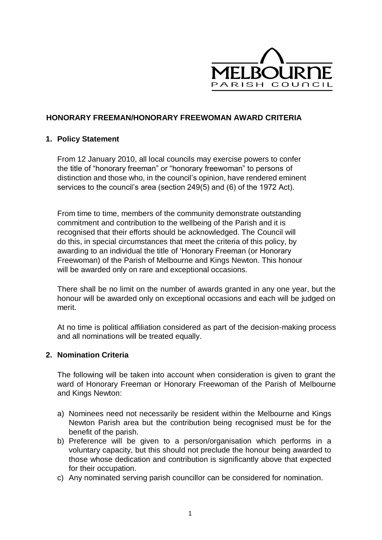

## **HONORARY FREEMAN/HONORARY FREEWOMAN AWARD CRITERIA**

### **1. Policy Statement**

From 12 January 2010, all local councils may exercise powers to confer the title of "honorary freeman" or "honorary freewoman" to persons of distinction and those who, in the council's opinion, have rendered eminent services to the council's area (section 249(5) and (6) of the 1972 Act).

From time to time, members of the community demonstrate outstanding commitment and contribution to the wellbeing of the Parish and it is recognised that their efforts should be acknowledged. The Council will do this, in special circumstances that meet the criteria of this policy, by awarding to an individual the title of 'Honorary Freeman (or Honorary Freewoman) of the Parish of Melbourne and Kings Newton. This honour will be awarded only on rare and exceptional occasions.

There shall be no limit on the number of awards granted in any one year, but the honour will be awarded only on exceptional occasions and each will be judged on merit.

At no time is political affiliation considered as part of the decision-making process and all nominations will be treated equally.

### **2. Nomination Criteria**

The following will be taken into account when consideration is given to grant the ward of Honorary Freeman or Honorary Freewoman of the Parish of Melbourne and Kings Newton:

- a) Nominees need not necessarily be resident within the Melbourne and Kings Newton Parish area but the contribution being recognised must be for the benefit of the parish.
- b) Preference will be given to a person/organisation which performs in a voluntary capacity, but this should not preclude the honour being awarded to those whose dedication and contribution is significantly above that expected for their occupation.
- c) Any nominated serving parish councillor can be considered for nomination.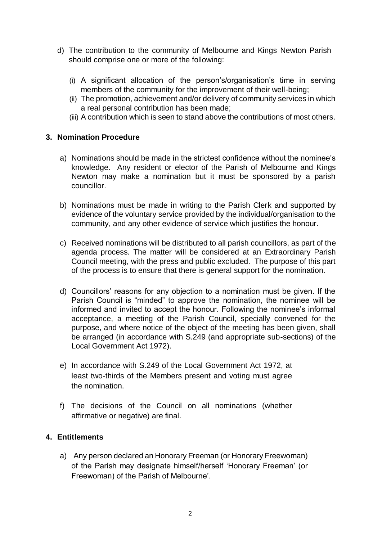- d) The contribution to the community of Melbourne and Kings Newton Parish should comprise one or more of the following:
	- (i) A significant allocation of the person's/organisation's time in serving members of the community for the improvement of their well-being;
	- (ii) The promotion, achievement and/or delivery of community services in which a real personal contribution has been made;
	- (iii) A contribution which is seen to stand above the contributions of most others.

## **3. Nomination Procedure**

- a) Nominations should be made in the strictest confidence without the nominee's knowledge. Any resident or elector of the Parish of Melbourne and Kings Newton may make a nomination but it must be sponsored by a parish councillor.
- b) Nominations must be made in writing to the Parish Clerk and supported by evidence of the voluntary service provided by the individual/organisation to the community, and any other evidence of service which justifies the honour.
- c) Received nominations will be distributed to all parish councillors, as part of the agenda process. The matter will be considered at an Extraordinary Parish Council meeting, with the press and public excluded. The purpose of this part of the process is to ensure that there is general support for the nomination.
- d) Councillors' reasons for any objection to a nomination must be given. If the Parish Council is "minded" to approve the nomination, the nominee will be informed and invited to accept the honour. Following the nominee's informal acceptance, a meeting of the Parish Council, specially convened for the purpose, and where notice of the object of the meeting has been given, shall be arranged (in accordance with S.249 (and appropriate sub-sections) of the Local Government Act 1972).
- e) In accordance with S.249 of the Local Government Act 1972, at least two-thirds of the Members present and voting must agree the nomination.
- f) The decisions of the Council on all nominations (whether affirmative or negative) are final.

# **4. Entitlements**

a) Any person declared an Honorary Freeman (or Honorary Freewoman) of the Parish may designate himself/herself 'Honorary Freeman' (or Freewoman) of the Parish of Melbourne'.